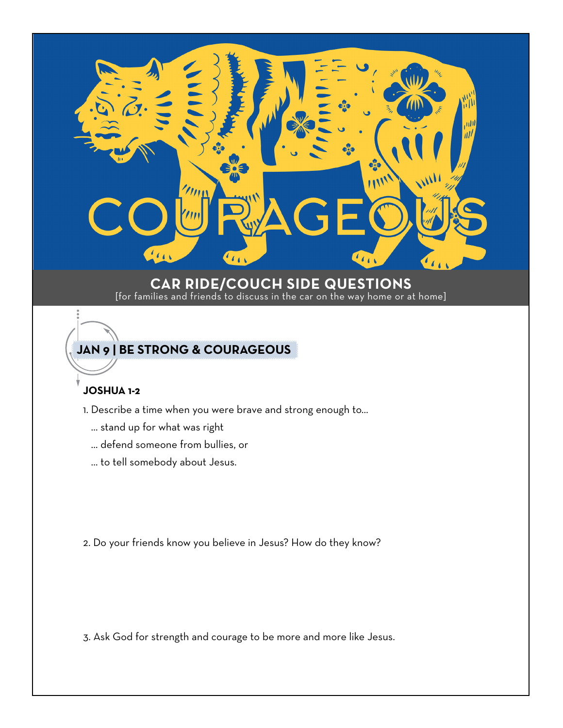## **CAR RIDE/COUCH SIDE QUESTIONS**

**INN** 

 $\epsilon_1$ 

[for families and friends to discuss in the car on the way home or at home]

## **JAN 9 | BE STRONG & COURAGEOUS**

## **JOSHUA 1-2**

1. Describe a time when you were brave and strong enough to…

 $\mathcal{L}_{\mathbf{A}}$ 

… stand up for what was right

 $\dddot{\bullet}$ 

- … defend someone from bullies, or
- … to tell somebody about Jesus.

2. Do your friends know you believe in Jesus? How do they know?

3. Ask God for strength and courage to be more and more like Jesus.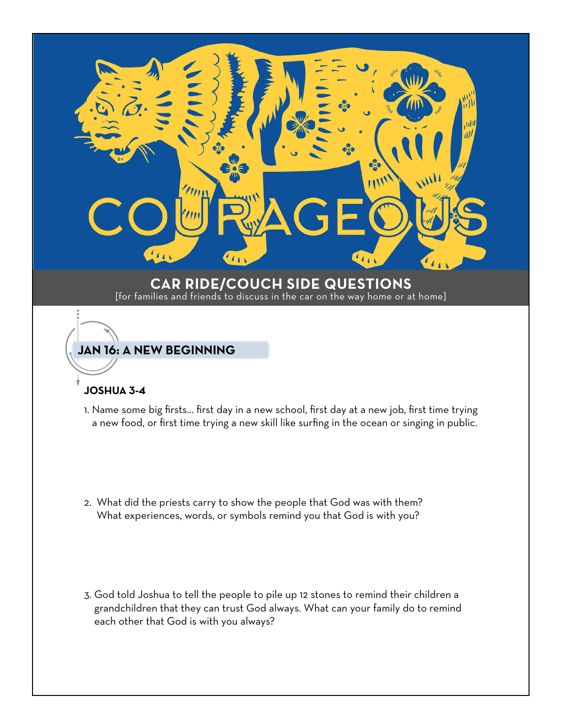

## **JOSHUA 3-4**

- 1. Name some big firsts… first day in a new school, first day at a new job, first time trying a new food, or first time trying a new skill like surfing in the ocean or singing in public.
- 2. What did the priests carry to show the people that God was with them? What experiences, words, or symbols remind you that God is with you?
- 3. God told Joshua to tell the people to pile up 12 stones to remind their children a grandchildren that they can trust God always. What can your family do to remind each other that God is with you always?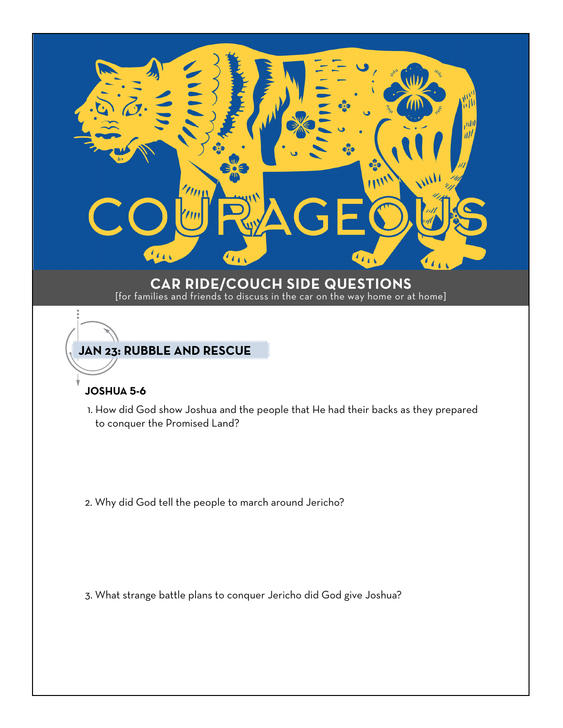## **CAR RIDE/COUCH SIDE QUESTIONS** [for families and friends to discuss in the car on the way home or at home]

 $\mathcal{L}_{\mathbf{C}}$ 

**INN** 

 $\epsilon$ 

**JAN 23: RUBBLE AND RESCUE**

 $\frac{1}{2}$  (1)

## **JOSHUA 5-6**

 1. How did God show Joshua and the people that He had their backs as they prepared to conquer the Promised Land?

2. Why did God tell the people to march around Jericho?

3. What strange battle plans to conquer Jericho did God give Joshua?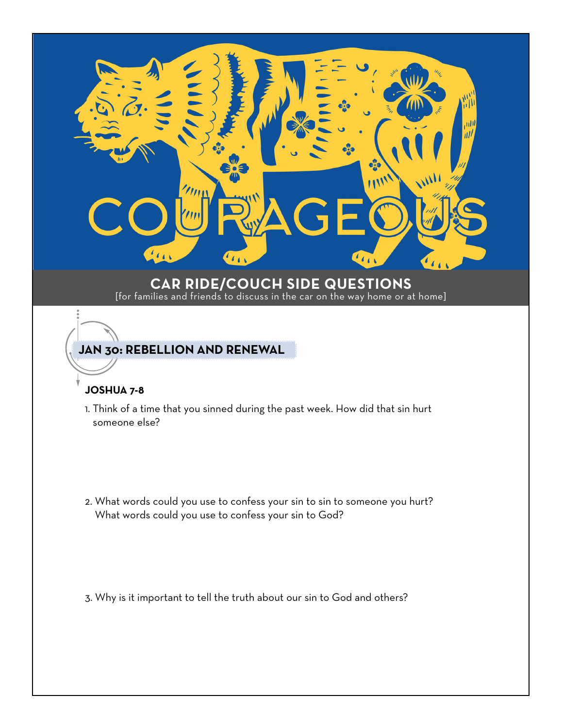# **CAR RIDE/COUCH SIDE QUESTIONS**

 $\mathcal{L}_{\mathbf{C}}$ 

**INN** 

 $\mathcal{L}_{\mathbf{t}}$ 

[for families and friends to discuss in the car on the way home or at home]

## **JAN 30: REBELLION AND RENEWAL**

 $\mathcal{L}_{\mathbf{A}}$ 

## **JOSHUA 7-8**

- 1. Think of a time that you sinned during the past week. How did that sin hurt someone else?
- 2. What words could you use to confess your sin to sin to someone you hurt? What words could you use to confess your sin to God?

3. Why is it important to tell the truth about our sin to God and others?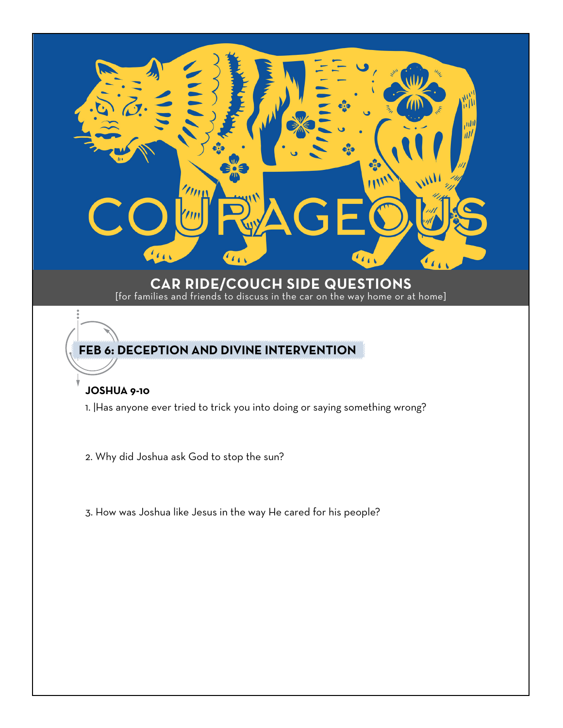# **INN**  $\mathcal{U}_{\mathbf{U}}$  $\mathcal{L}_{\mathbf{C}}$  $\mathcal{L}_{\mathbf{t}}$ **CAR RIDE/COUCH SIDE QUESTIONS**

ıI

[for families and friends to discuss in the car on the way home or at home]

## **FEB 6: DECEPTION AND DIVINE INTERVENTION**

## **JOSHUA 9-10**

1. |Has anyone ever tried to trick you into doing or saying something wrong?

2. Why did Joshua ask God to stop the sun?

3. How was Joshua like Jesus in the way He cared for his people?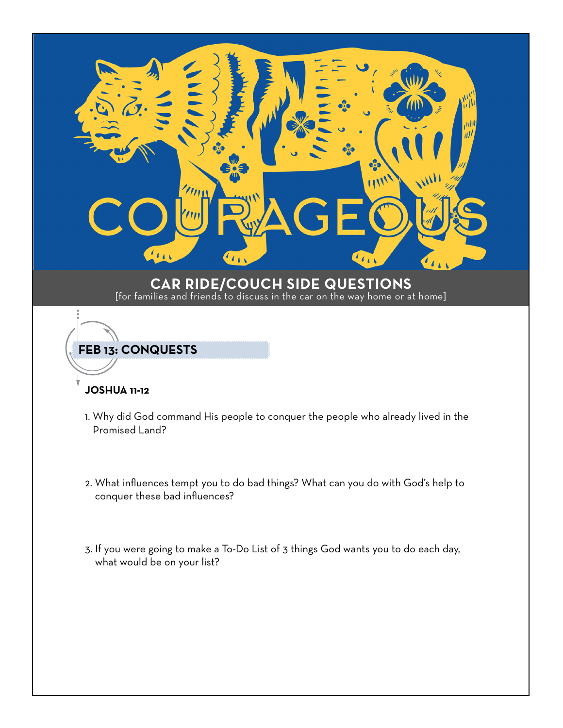

- 2. What influences tempt you to do bad things? What can you do with God's help to conquer these bad influences?
- 3. If you were going to make a To-Do List of 3 things God wants you to do each day, what would be on your list?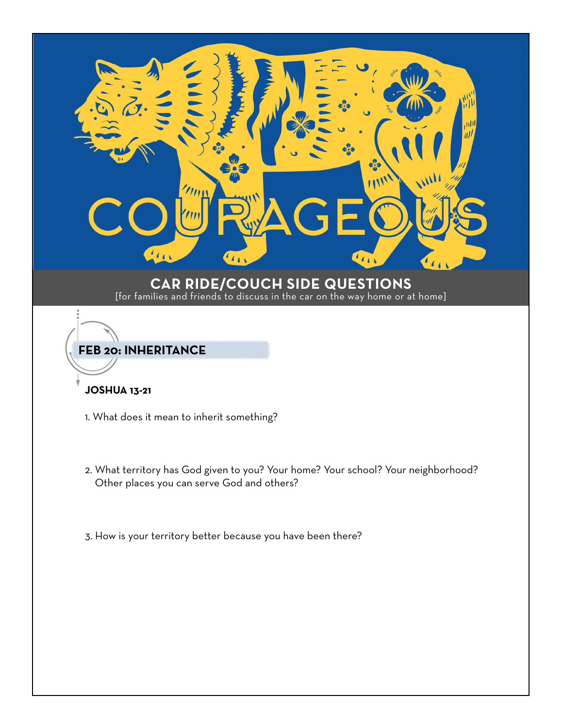